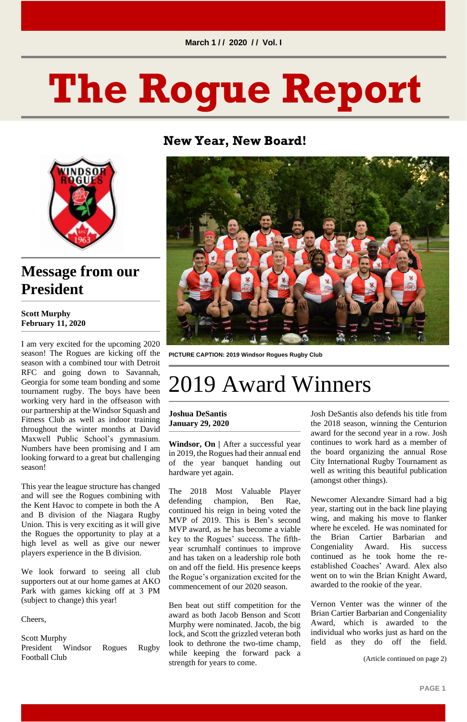**PAGE 1**

# **The Rogue Report**



**New Year, New Board!**

### **Message from our President**

#### **Scott Murphy February 11, 2020**

I am very excited for the upcoming 2020 season! The Rogues are kicking off the season with a combined tour with Detroit RFC and going down to Savannah, Georgia for some team bonding and some tournament rugby. The boys have been working very hard in the offseason with our partnership at the Windsor Squash and Fitness Club as well as indoor training throughout the winter months at David Maxwell Public School's gymnasium. Numbers have been promising and I am looking forward to a great but challenging season!

This year the league structure has changed and will see the Rogues combining with the Kent Havoc to compete in both the A and B division of the Niagara Rugby Union. This is very exciting as it will give the Rogues the opportunity to play at a high level as well as give our newer players experience in the B division.

We look forward to seeing all club supporters out at our home games at AKO Park with games kicking off at 3 PM (subject to change) this year!

Cheers,

Scott Murphy President Windsor Rogues Rugby Football Club



**PICTURE CAPTION: 2019 Windsor Rogues Rugby Club**

# 2019 Award Winners

**Joshua DeSantis January 29, 2020**

**Windsor, On |** After a successful year in 2019, the Rogues had their annual end of the year banquet handing out hardware yet again.

The 2018 Most Valuable Player defending champion, Ben Rae, continued his reign in being voted the MVP of 2019. This is Ben's second MVP award, as he has become a viable key to the Rogues' success. The fifthyear scrumhalf continues to improve and has taken on a leadership role both on and off the field. His presence keeps the Rogue's organization excited for the commencement of our 2020 season.

Ben beat out stiff competition for the award as both Jacob Benson and Scott Murphy were nominated. Jacob, the big lock, and Scott the grizzled veteran both look to dethrone the two-time champ, while keeping the forward pack a strength for years to come.

Josh DeSantis also defends his title from the 2018 season, winning the Centurion award for the second year in a row. Josh continues to work hard as a member of the board organizing the annual Rose City International Rugby Tournament as well as writing this beautiful publication (amongst other things).

Newcomer Alexandre Simard had a big year, starting out in the back line playing wing, and making his move to flanker where he exceled. He was nominated for the Brian Cartier Barbarian and Congeniality Award. His success continued as he took home the reestablished Coaches' Award. Alex also went on to win the Brian Knight Award, awarded to the rookie of the year.

Vernon Venter was the winner of the Brian Cartier Barbarian and Congeniality Award, which is awarded to the individual who works just as hard on the field as they do off the field.

(Article continued on page 2)